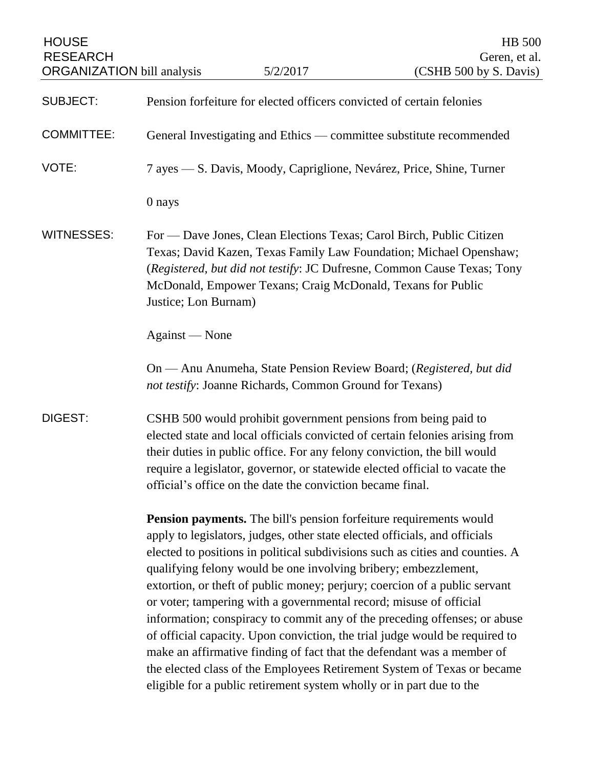| <b>HOUSE</b><br><b>RESEARCH</b><br><b>ORGANIZATION</b> bill analysis |                                                                                                                                                                                                                                                                                                                                                                         | 5/2/2017                                                                                                                                                                                                                                                                                                                                                                 | <b>HB 500</b><br>Geren, et al.<br>(CSHB 500 by S. Davis)                                                                                                                                                                                                                                                                                                                                                                                                                     |
|----------------------------------------------------------------------|-------------------------------------------------------------------------------------------------------------------------------------------------------------------------------------------------------------------------------------------------------------------------------------------------------------------------------------------------------------------------|--------------------------------------------------------------------------------------------------------------------------------------------------------------------------------------------------------------------------------------------------------------------------------------------------------------------------------------------------------------------------|------------------------------------------------------------------------------------------------------------------------------------------------------------------------------------------------------------------------------------------------------------------------------------------------------------------------------------------------------------------------------------------------------------------------------------------------------------------------------|
| <b>SUBJECT:</b>                                                      |                                                                                                                                                                                                                                                                                                                                                                         | Pension forfeiture for elected officers convicted of certain felonies                                                                                                                                                                                                                                                                                                    |                                                                                                                                                                                                                                                                                                                                                                                                                                                                              |
| <b>COMMITTEE:</b>                                                    |                                                                                                                                                                                                                                                                                                                                                                         |                                                                                                                                                                                                                                                                                                                                                                          | General Investigating and Ethics — committee substitute recommended                                                                                                                                                                                                                                                                                                                                                                                                          |
| VOTE:                                                                | 7 ayes — S. Davis, Moody, Capriglione, Nevárez, Price, Shine, Turner                                                                                                                                                                                                                                                                                                    |                                                                                                                                                                                                                                                                                                                                                                          |                                                                                                                                                                                                                                                                                                                                                                                                                                                                              |
|                                                                      | 0 nays                                                                                                                                                                                                                                                                                                                                                                  |                                                                                                                                                                                                                                                                                                                                                                          |                                                                                                                                                                                                                                                                                                                                                                                                                                                                              |
| <b>WITNESSES:</b>                                                    | For — Dave Jones, Clean Elections Texas; Carol Birch, Public Citizen<br>Texas; David Kazen, Texas Family Law Foundation; Michael Openshaw;<br>(Registered, but did not testify: JC Dufresne, Common Cause Texas; Tony<br>McDonald, Empower Texans; Craig McDonald, Texans for Public<br>Justice; Lon Burnam)                                                            |                                                                                                                                                                                                                                                                                                                                                                          |                                                                                                                                                                                                                                                                                                                                                                                                                                                                              |
|                                                                      | Against — None                                                                                                                                                                                                                                                                                                                                                          |                                                                                                                                                                                                                                                                                                                                                                          |                                                                                                                                                                                                                                                                                                                                                                                                                                                                              |
|                                                                      |                                                                                                                                                                                                                                                                                                                                                                         | not testify: Joanne Richards, Common Ground for Texans)                                                                                                                                                                                                                                                                                                                  | On — Anu Anumeha, State Pension Review Board; (Registered, but did                                                                                                                                                                                                                                                                                                                                                                                                           |
| DIGEST:                                                              | CSHB 500 would prohibit government pensions from being paid to<br>elected state and local officials convicted of certain felonies arising from<br>their duties in public office. For any felony conviction, the bill would<br>require a legislator, governor, or statewide elected official to vacate the<br>official's office on the date the conviction became final. |                                                                                                                                                                                                                                                                                                                                                                          |                                                                                                                                                                                                                                                                                                                                                                                                                                                                              |
|                                                                      |                                                                                                                                                                                                                                                                                                                                                                         | <b>Pension payments.</b> The bill's pension forfeiture requirements would<br>apply to legislators, judges, other state elected officials, and officials<br>qualifying felony would be one involving bribery; embezzlement,<br>or voter; tampering with a governmental record; misuse of official<br>eligible for a public retirement system wholly or in part due to the | elected to positions in political subdivisions such as cities and counties. A<br>extortion, or theft of public money; perjury; coercion of a public servant<br>information; conspiracy to commit any of the preceding offenses; or abuse<br>of official capacity. Upon conviction, the trial judge would be required to<br>make an affirmative finding of fact that the defendant was a member of<br>the elected class of the Employees Retirement System of Texas or became |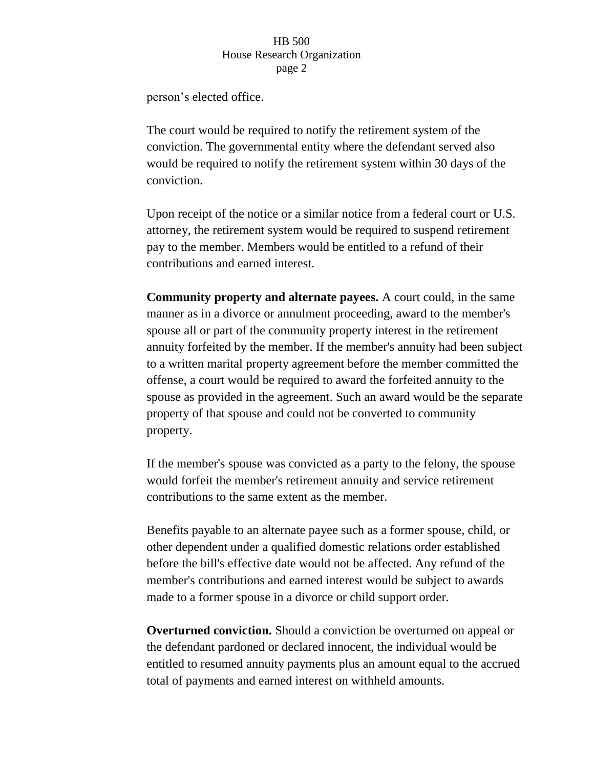## HB 500 House Research Organization page 2

person's elected office.

The court would be required to notify the retirement system of the conviction. The governmental entity where the defendant served also would be required to notify the retirement system within 30 days of the conviction.

Upon receipt of the notice or a similar notice from a federal court or U.S. attorney, the retirement system would be required to suspend retirement pay to the member. Members would be entitled to a refund of their contributions and earned interest.

**Community property and alternate payees.** A court could, in the same manner as in a divorce or annulment proceeding, award to the member's spouse all or part of the community property interest in the retirement annuity forfeited by the member. If the member's annuity had been subject to a written marital property agreement before the member committed the offense, a court would be required to award the forfeited annuity to the spouse as provided in the agreement. Such an award would be the separate property of that spouse and could not be converted to community property.

If the member's spouse was convicted as a party to the felony, the spouse would forfeit the member's retirement annuity and service retirement contributions to the same extent as the member.

Benefits payable to an alternate payee such as a former spouse, child, or other dependent under a qualified domestic relations order established before the bill's effective date would not be affected. Any refund of the member's contributions and earned interest would be subject to awards made to a former spouse in a divorce or child support order.

**Overturned conviction.** Should a conviction be overturned on appeal or the defendant pardoned or declared innocent, the individual would be entitled to resumed annuity payments plus an amount equal to the accrued total of payments and earned interest on withheld amounts.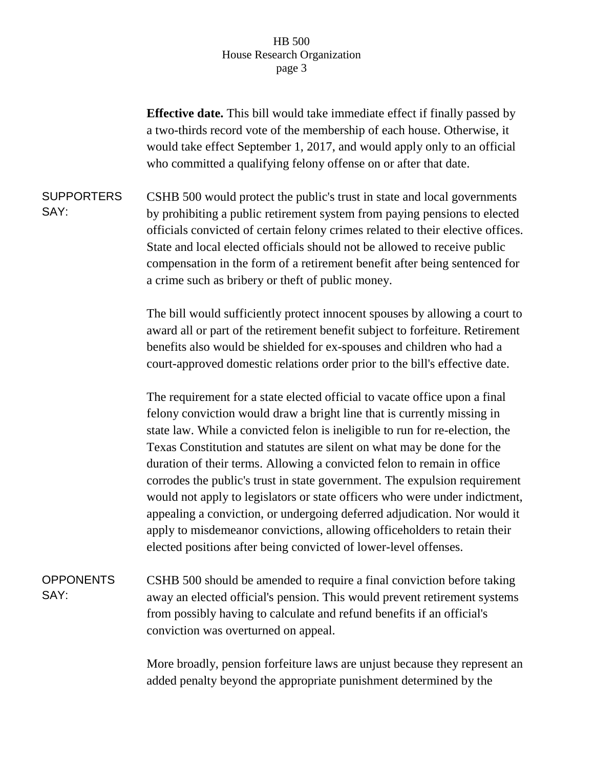## HB 500 House Research Organization page 3

**Effective date.** This bill would take immediate effect if finally passed by a two-thirds record vote of the membership of each house. Otherwise, it would take effect September 1, 2017, and would apply only to an official who committed a qualifying felony offense on or after that date.

**SUPPORTERS** SAY: CSHB 500 would protect the public's trust in state and local governments by prohibiting a public retirement system from paying pensions to elected officials convicted of certain felony crimes related to their elective offices. State and local elected officials should not be allowed to receive public compensation in the form of a retirement benefit after being sentenced for a crime such as bribery or theft of public money.

> The bill would sufficiently protect innocent spouses by allowing a court to award all or part of the retirement benefit subject to forfeiture. Retirement benefits also would be shielded for ex-spouses and children who had a court-approved domestic relations order prior to the bill's effective date.

> The requirement for a state elected official to vacate office upon a final felony conviction would draw a bright line that is currently missing in state law. While a convicted felon is ineligible to run for re-election, the Texas Constitution and statutes are silent on what may be done for the duration of their terms. Allowing a convicted felon to remain in office corrodes the public's trust in state government. The expulsion requirement would not apply to legislators or state officers who were under indictment, appealing a conviction, or undergoing deferred adjudication. Nor would it apply to misdemeanor convictions, allowing officeholders to retain their elected positions after being convicted of lower-level offenses.

**OPPONENTS** SAY: CSHB 500 should be amended to require a final conviction before taking away an elected official's pension. This would prevent retirement systems from possibly having to calculate and refund benefits if an official's conviction was overturned on appeal.

> More broadly, pension forfeiture laws are unjust because they represent an added penalty beyond the appropriate punishment determined by the